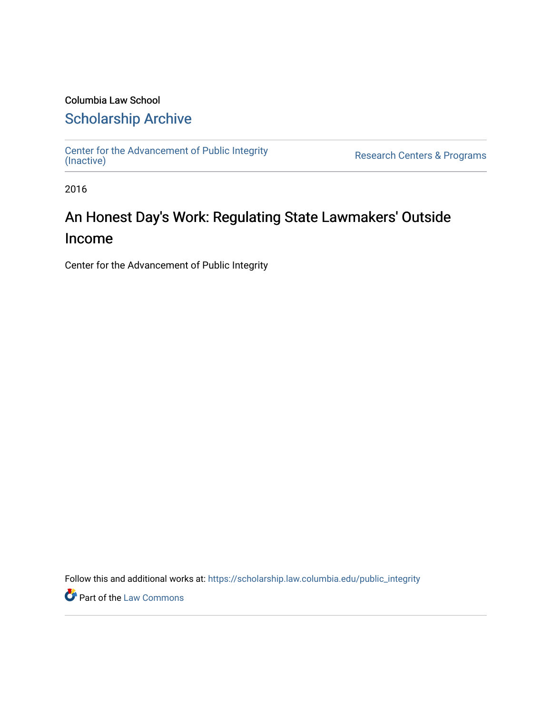### Columbia Law School [Scholarship Archive](https://scholarship.law.columbia.edu/)

[Center for the Advancement of Public Integrity](https://scholarship.law.columbia.edu/public_integrity)<br>(Inactive)

Research Centers & Programs

2016

## An Honest Day's Work: Regulating State Lawmakers' Outside Income

Center for the Advancement of Public Integrity

Follow this and additional works at: [https://scholarship.law.columbia.edu/public\\_integrity](https://scholarship.law.columbia.edu/public_integrity?utm_source=scholarship.law.columbia.edu%2Fpublic_integrity%2F70&utm_medium=PDF&utm_campaign=PDFCoverPages)

**Part of the [Law Commons](http://network.bepress.com/hgg/discipline/578?utm_source=scholarship.law.columbia.edu%2Fpublic_integrity%2F70&utm_medium=PDF&utm_campaign=PDFCoverPages)**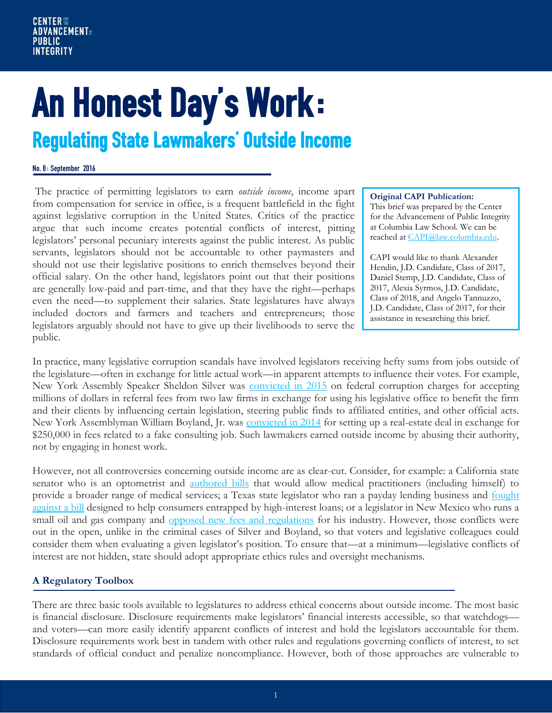# An Honest Day's Work: Regulating State Lawmakers' Outside Income

#### No. 8: September 2016

The practice of permitting legislators to earn *outside income*, income apart from compensation for service in office, is a frequent battlefield in the fight against legislative corruption in the United States. Critics of the practice argue that such income creates potential conflicts of interest, pitting legislators' personal pecuniary interests against the public interest. As public servants, legislators should not be accountable to other paymasters and should not use their legislative positions to enrich themselves beyond their official salary. On the other hand, legislators point out that their positions are generally low-paid and part-time, and that they have the right—perhaps even the need—to supplement their salaries. State legislatures have always included doctors and farmers and teachers and entrepreneurs; those legislators arguably should not have to give up their livelihoods to serve the public.

#### **Original CAPI Publication:**

This brief was prepared by the Center for the Advancement of Public Integrity at Columbia Law School. We can be reached a[t CAPI@law.columbia.edu.](mailto:CAPI@law.columbia.edu)

CAPI would like to thank Alexander Hendin, J.D. Candidate, Class of 2017, Daniel Stemp, J.D. Candidate, Class of 2017, Alexia Syrmos, J.D. Candidate, Class of 2018, and Angelo Tannuzzo, J.D. Candidate, Class of 2017, for their assistance in researching this brief.

In practice, many legislative corruption scandals have involved legislators receiving hefty sums from jobs outside of the legislature—often in exchange for little actual work—in apparent attempts to influence their votes. For example, New York Assembly Speaker Sheldon Silver was [convicted in 2015](http://www.nytimes.com/2016/05/04/nyregion/sheldon-silver-ex-new-york-assembly-speaker-gets-12-year-prison-sentence.html?smprod=nytcore-iphone&smid=nytcore-iphone-share&_r=0) on federal corruption charges for accepting millions of dollars in referral fees from two law firms in exchange for using his legislative office to benefit the firm and their clients by influencing certain legislation, steering public finds to affiliated entities, and other official acts. New York Assemblyman William Boyland, Jr. was [convicted in 2014](http://www.nytimes.com/2014/03/07/nyregion/boyland-is-convicted-in-second-corruption-trial.html?_r=0) for setting up a real-estate deal in exchange for \$250,000 in fees related to a fake consulting job. Such lawmakers earned outside income by abusing their authority, not by engaging in honest work.

However, not all controversies concerning outside income are as clear-cut. Consider, for example: a California state senator who is an optometrist and [authored bills](http://ww2.kqed.org/news/2014/04/11/4-in-10-california-lawmakers-take-in-outside-income/) that would allow medical practitioners (including himself) to provide a broader range of medical services; a Texas state legislator who ran a payday lending business and fought [against a bill](https://www.texastribune.org/2013/01/13/part-time-legislature-questions-conflict/) designed to help consumers entrapped by high-interest loans; or a legislator in New Mexico who runs a small oil and gas company and [opposed new fees and regulations](https://www.publicintegrity.org/2013/03/18/12313/conflicts-interest-run-rampant-state-legislatures) for his industry. However, those conflicts were out in the open, unlike in the criminal cases of Silver and Boyland, so that voters and legislative colleagues could consider them when evaluating a given legislator's position. To ensure that—at a minimum—legislative conflicts of interest are not hidden, state should adopt appropriate ethics rules and oversight mechanisms.

#### **A Regulatory Toolbox**

There are three basic tools available to legislatures to address ethical concerns about outside income. The most basic is financial disclosure. Disclosure requirements make legislators' financial interests accessible, so that watchdogs and voters—can more easily identify apparent conflicts of interest and hold the legislators accountable for them. Disclosure requirements work best in tandem with other rules and regulations governing conflicts of interest, to set standards of official conduct and penalize noncompliance. However, both of those approaches are vulnerable to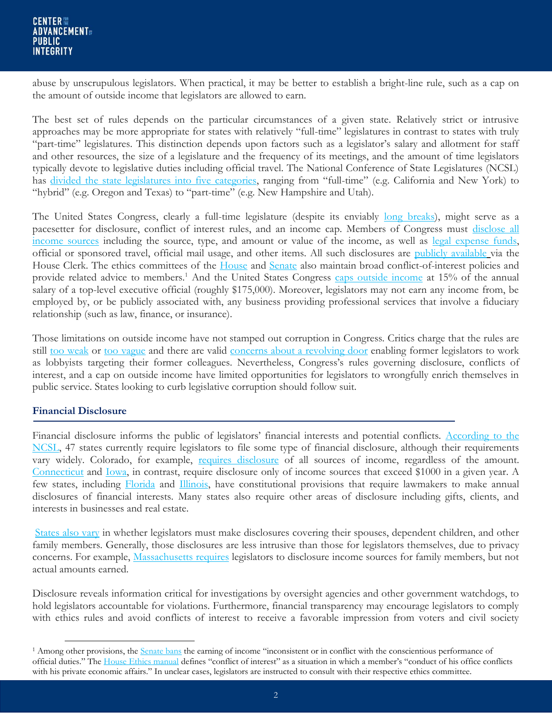abuse by unscrupulous legislators. When practical, it may be better to establish a bright-line rule, such as a cap on the amount of outside income that legislators are allowed to earn.

The best set of rules depends on the particular circumstances of a given state. Relatively strict or intrusive approaches may be more appropriate for states with relatively "full-time" legislatures in contrast to states with truly "part-time" legislatures. This distinction depends upon factors such as a legislator's salary and allotment for staff and other resources, the size of a legislature and the frequency of its meetings, and the amount of time legislators typically devote to legislative duties including official travel. The National Conference of State Legislatures (NCSL) has [divided the state legislatures into five categories](http://www.ncsl.org/research/about-state-legislatures/full-and-part-time-legislatures.aspx), ranging from "full-time" (e.g. California and New York) to "hybrid" (e.g. Oregon and Texas) to "part-time" (e.g. New Hampshire and Utah).

The United States Congress, clearly a full-time legislature (despite its enviably [long breaks\)](http://www.politico.com/blogs/the-gavel/2015/11/house-2016-schedule-215476), might serve as a pacesetter for disclosure, conflict of interest rules, and an income cap. Members of Congress must disclose all [income sources](http://clerk.house.gov/public_disc/) including the source, type, and amount or value of the income, as well as [legal expense funds,](http://clerk.house.gov/public_disc/legal.aspx) official or sponsored travel, official mail usage, and other items. All such disclosures are [publicly available](http://clerk.house.gov/public_disc/financial-search.aspx) via the House Clerk. The ethics committees of the [House](http://ethics.house.gov/financial-dislosure/policies-underlying-disclosure) and [Senate](http://www.ethics.senate.gov/public/index.cfm/conflictsofinterest) also maintain broad conflict-of-interest policies and provide related advice to members.<sup>1</sup> And the United States Congress [caps outside income](http://ethics.house.gov/outside-employment-income/outside-earned-income-limitation-applicable-members-and-senior-staff) at 15% of the annual salary of a top-level executive official (roughly \$175,000). Moreover, legislators may not earn any income from, be employed by, or be publicly associated with, any business providing professional services that involve a fiduciary relationship (such as law, finance, or insurance).

Those limitations on outside income have not stamped out corruption in Congress. Critics charge that the rules are still [too weak](http://www.theatlantic.com/politics/archive/2012/10/lucky-congress-blatant-conflict-interest-still-perfectly-legal/322790/) or [too vague](https://www.washingtonpost.com/blogs/in-the-loop/wp/2014/10/03/does-congress-need-clearer-conflict-of-interest-rules/) and there are valid [concerns about a revolving door](http://www.politico.com/story/2016/06/the-lobbying-reform-that-enriched-congress-224849) enabling former legislators to work as lobbyists targeting their former colleagues. Nevertheless, Congress's rules governing disclosure, conflicts of interest, and a cap on outside income have limited opportunities for legislators to wrongfully enrich themselves in public service. States looking to curb legislative corruption should follow suit.

#### **Financial Disclosure**

 $\overline{a}$ 

Financial disclosure informs the public of legislators' financial interests and potential conflicts. According to the [NCSL,](http://www.ncsl.org/research/ethics/financial-disclosure-for-legislators-income.aspx) 47 states currently require legislators to file some type of financial disclosure, although their requirements vary widely. Colorado, for example, [requires disclosure](http://www.sos.state.co.us/pubs/info_center/laws/Title24Article6Part2.html) of all sources of income, regardless of the amount. [Connecticut](http://law.justia.com/codes/connecticut/2012/title-1/chapter-10/section-1-83) and [Iowa,](http://www.iowa.gov/ethics/legal/68bcontent.htm) in contrast, require disclosure only of income sources that exceed \$1000 in a given year. A few states, including [Florida](http://www.leg.state.fl.us/statutes/index.cfm?submenu=3#A2S08) and [Illinois,](http://www.ilga.gov/commission/lrb/con13.htm) have constitutional provisions that require lawmakers to make annual disclosures of financial interests. Many states also require other areas of disclosure including gifts, clients, and interests in businesses and real estate.

[States also vary](http://www.ncsl.org/research/ethics/personal-financial-disclosure-household-member.aspx) in whether legislators must make disclosures covering their spouses, dependent children, and other family members. Generally, those disclosures are less intrusive than those for legislators themselves, due to privacy concerns. For example, [Massachusetts requires](https://malegislature.gov/Laws/GeneralLaws/PartIV/TitleI/Chapter268B/Section5) legislators to disclosure income sources for family members, but not actual amounts earned.

Disclosure reveals information critical for investigations by oversight agencies and other government watchdogs, to hold legislators accountable for violations. Furthermore, financial transparency may encourage legislators to comply with ethics rules and avoid conflicts of interest to receive a favorable impression from voters and civil society

<sup>&</sup>lt;sup>1</sup> Among other provisions, the [Senate bans](http://www.ethics.senate.gov/public/index.cfm/files/serve?File_id=efa7bf74-4a50-46a5-bb6f-b8d26b9755bf#page=22) the earning of income "inconsistent or in conflict with the conscientious performance of official duties." The [House Ethics manual](http://ethics.house.gov/sites/ethics.house.gov/files/documents/2008_House_Ethics_Manual.pdf) defines "conflict of interest" as a situation in which a member's "conduct of his office conflicts with his private economic affairs." In unclear cases, legislators are instructed to consult with their respective ethics committee.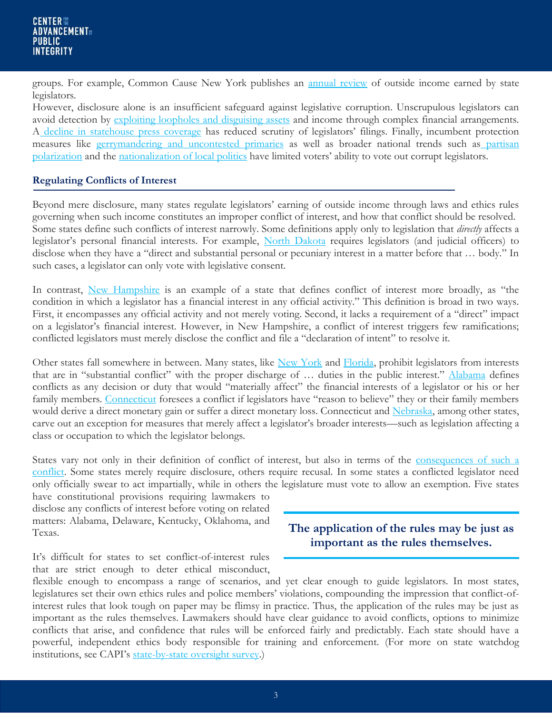groups. For example, Common Cause New York publishes an [annual review](http://www.commoncause.org/states/new-york/research-and-reports/ccny-2015-review-of-ny-state.html?referrer=https://www.google.com/) of outside income earned by state legislators.

However, disclosure alone is an insufficient safeguard against legislative corruption. Unscrupulous legislators can avoid detection by [exploiting loopholes and disguising assets](https://www.publicintegrity.org/1999/02/15/5834/hidden-agendas) and income through complex financial arrangements. A [decline in statehouse press coverage](http://www.journalism.org/2014/07/10/americas-shifting-statehouse-press/) has reduced scrutiny of legislators' filings. Finally, incumbent protection measures like [gerrymandering and uncontested primaries](https://nyelectionsnews.files.wordpress.com/2014/10/cu-report-rigged-to-maintain-power.pdf) as well as broader national trends such as partisan [polarization](https://books.google.com/books/about/Solutions_to_Political_Polarization_in_A.html?id=iwWyoQEACAAJ) and the [nationalization of local politics](http://www.latimes.com/nation/politics/politicsnow/la-pn-polarized-politics-20150420-story.html) have limited voters' ability to vote out corrupt legislators.

#### **Regulating Conflicts of Interest**

Beyond mere disclosure, many states regulate legislators' earning of outside income through laws and ethics rules governing when such income constitutes an improper conflict of interest, and how that conflict should be resolved. Some states define such conflicts of interest narrowly. Some definitions apply only to legislation that *directly* affects a legislator's personal financial interests. For example, [North Dakota](http://www.legis.nd.gov/cencode/t44c04.pdf) requires legislators (and judicial officers) to disclose when they have a "direct and substantial personal or pecuniary interest in a matter before that … body." In such cases, a legislator can only vote with legislative consent.

In contrast, [New Hampshire](http://www.gencourt.state.nh.us/misc/ethics.pdf) is an example of a state that defines conflict of interest more broadly, as "the condition in which a legislator has a financial interest in any official activity." This definition is broad in two ways. First, it encompasses any official activity and not merely voting. Second, it lacks a requirement of a "direct" impact on a legislator's financial interest. However, in New Hampshire, a conflict of interest triggers few ramifications; conflicted legislators must merely disclose the conflict and file a "declaration of intent" to resolve it.

Other states fall somewhere in between. Many states, like [New York](http://www.ag.ny.gov/sites/default/files/pdfs/bureaus/public_integrity/public_officers_law_sec_74.pdf) and [Florida,](http://www.leg.state.fl.us/Statutes/index.cfm?App_mode=Display_Statute&Search_String=&URL=0100-0199/0112/Sections/0112.311.html) prohibit legislators from interests that are in "substantial conflict" with the proper discharge of ... duties in the public interest." [Alabama](http://codes.findlaw.com/al/title-36-public-officers-and-employees/al-code-sect-36-25-1.html) defines conflicts as any decision or duty that would "materially affect" the financial interests of a legislator or his or her family members. [Connecticut](https://www.cga.ct.gov/current/pub/chap_010.htm#sec_1-85) foresees a conflict if legislators have "reason to believe" they or their family members would derive a direct monetary gain or suffer a direct monetary loss. Connecticut and [Nebraska,](http://law.justia.com/codes/nebraska/2013/chapter-49/statute-49-1499) among other states, carve out an exception for measures that merely affect a legislator's broader interests—such as legislation affecting a class or occupation to which the legislator belongs.

States vary not only in their definition of conflict of interest, but also in terms of the consequences of such a [conflict.](http://www.ncsl.org/research/ethics/50-state-table-voting-recusal-provisions.aspx) Some states merely require disclosure, others require recusal. In some states a conflicted legislator need only officially swear to act impartially, while in others the legislature must vote to allow an exemption. Five states

have constitutional provisions requiring lawmakers to disclose any conflicts of interest before voting on related matters: Alabama, Delaware, Kentucky, Oklahoma, and Texas.

It's difficult for states to set conflict-of-interest rules that are strict enough to deter ethical misconduct,

flexible enough to encompass a range of scenarios, and yet clear enough to guide legislators. In most states, legislatures set their own ethics rules and police members' violations, compounding the impression that conflict-ofinterest rules that look tough on paper may be flimsy in practice. Thus, the application of the rules may be just as important as the rules themselves. Lawmakers should have clear guidance to avoid conflicts, options to minimize conflicts that arise, and confidence that rules will be enforced fairly and predictably. Each state should have a powerful, independent ethics body responsible for training and enforcement. (For more on state watchdog institutions, see CAPI's [state-by-state oversight survey.](http://web.law.columbia.edu/capi-map))

**The application of the rules may be just as important as the rules themselves.**